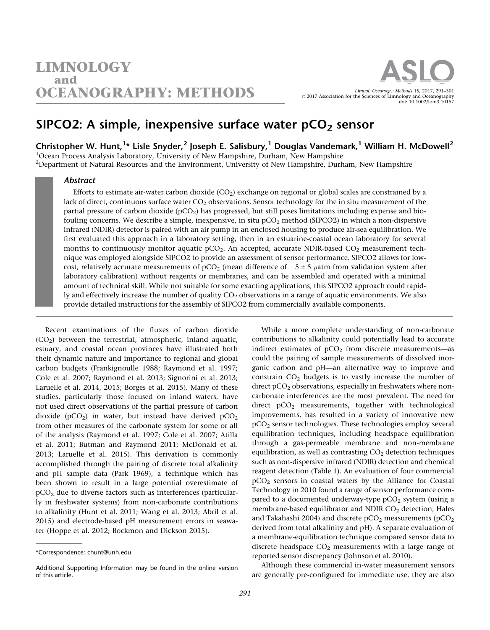

# SIPCO2: A simple, inexpensive surface water  $pCO<sub>2</sub>$  sensor

Christopher W. Hunt,<sup>1</sup>\* Lisle Snyder,<sup>2</sup> Joseph E. Salisbury,<sup>1</sup> Douglas Vandemark,<sup>1</sup> William H. McDowell<sup>2</sup>

<sup>1</sup>Ocean Process Analysis Laboratory, University of New Hampshire, Durham, New Hampshire

<sup>2</sup>Department of Natural Resources and the Environment, University of New Hampshire, Durham, New Hampshire

### Abstract

Efforts to estimate air-water carbon dioxide  $(CO<sub>2</sub>)$  exchange on regional or global scales are constrained by a lack of direct, continuous surface water  $CO<sub>2</sub>$  observations. Sensor technology for the in situ measurement of the partial pressure of carbon dioxide  $(pCO<sub>2</sub>)$  has progressed, but still poses limitations including expense and biofouling concerns. We describe a simple, inexpensive, in situ  $pCO<sub>2</sub>$  method (SIPCO2) in which a non-dispersive infrared (NDIR) detector is paired with an air pump in an enclosed housing to produce air-sea equilibration. We first evaluated this approach in a laboratory setting, then in an estuarine-coastal ocean laboratory for several months to continuously monitor aquatic  $pCO<sub>2</sub>$ . An accepted, accurate NDIR-based  $CO<sub>2</sub>$  measurement technique was employed alongside SIPCO2 to provide an assessment of sensor performance. SIPCO2 allows for lowcost, relatively accurate measurements of  $pCO<sub>2</sub>$  (mean difference of  $-5 \pm 5$   $\mu$ atm from validation system after laboratory calibration) without reagents or membranes, and can be assembled and operated with a minimal amount of technical skill. While not suitable for some exacting applications, this SIPCO2 approach could rapidly and effectively increase the number of quality  $CO<sub>2</sub>$  observations in a range of aquatic environments. We also provide detailed instructions for the assembly of SIPCO2 from commercially available components.

Recent examinations of the fluxes of carbon dioxide  $(CO<sub>2</sub>)$  between the terrestrial, atmospheric, inland aquatic, estuary, and coastal ocean provinces have illustrated both their dynamic nature and importance to regional and global carbon budgets (Frankignoulle 1988; Raymond et al. 1997; Cole et al. 2007; Raymond et al. 2013; Signorini et al. 2013; Laruelle et al. 2014, 2015; Borges et al. 2015). Many of these studies, particularly those focused on inland waters, have not used direct observations of the partial pressure of carbon dioxide (pCO<sub>2</sub>) in water, but instead have derived pCO<sub>2</sub> from other measures of the carbonate system for some or all of the analysis (Raymond et al. 1997; Cole et al. 2007; Atilla et al. 2011; Butman and Raymond 2011; McDonald et al. 2013; Laruelle et al. 2015). This derivation is commonly accomplished through the pairing of discrete total alkalinity and pH sample data (Park 1969), a technique which has been shown to result in a large potential overestimate of pCO2 due to diverse factors such as interferences (particularly in freshwater systems) from non-carbonate contributions to alkalinity (Hunt et al. 2011; Wang et al. 2013; Abril et al. 2015) and electrode-based pH measurement errors in seawater (Hoppe et al. 2012; Bockmon and Dickson 2015).

While a more complete understanding of non-carbonate contributions to alkalinity could potentially lead to accurate indirect estimates of  $pCO<sub>2</sub>$  from discrete measurements—as could the pairing of sample measurements of dissolved inorganic carbon and pH—an alternative way to improve and constrain  $CO<sub>2</sub>$  budgets is to vastly increase the number of direct pCO<sub>2</sub> observations, especially in freshwaters where noncarbonate interferences are the most prevalent. The need for direct  $pCO<sub>2</sub>$  measurements, together with technological improvements, has resulted in a variety of innovative new pCO2 sensor technologies. These technologies employ several equilibration techniques, including headspace equilibration through a gas-permeable membrane and non-membrane equilibration, as well as contrasting  $CO<sub>2</sub>$  detection techniques such as non-dispersive infrared (NDIR) detection and chemical reagent detection (Table 1). An evaluation of four commercial pCO2 sensors in coastal waters by the Alliance for Coastal Technology in 2010 found a range of sensor performance compared to a documented underway-type  $pCO<sub>2</sub>$  system (using a membrane-based equilibrator and NDIR CO<sub>2</sub> detection, Hales and Takahashi 2004) and discrete  $pCO<sub>2</sub>$  measurements ( $pCO<sub>2</sub>$ ) derived from total alkalinity and pH). A separate evaluation of a membrane-equilibration technique compared sensor data to discrete headspace  $CO<sub>2</sub>$  measurements with a large range of reported sensor discrepancy (Johnson et al. 2010).

Although these commercial in-water measurement sensors are generally pre-configured for immediate use, they are also

<sup>\*</sup>Correspondence: chunt@unh.edu

Additional Supporting Information may be found in the online version of this article.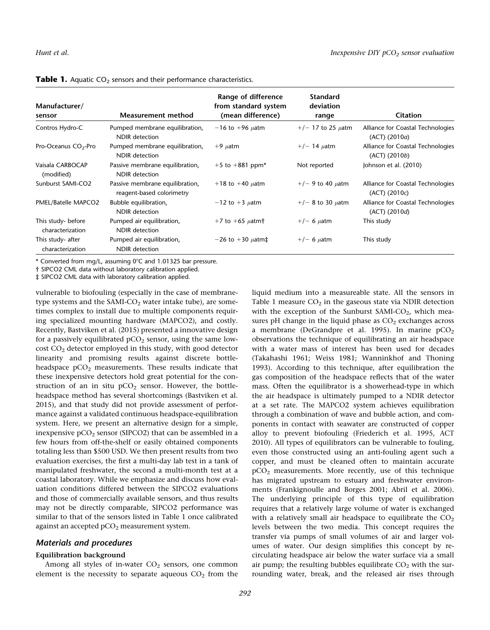| Manufacturer/<br>sensor                | Measurement method                                           | Range of difference<br>from standard system<br>(mean difference) | <b>Standard</b><br>deviation<br>range | <b>Citation</b>                                    |
|----------------------------------------|--------------------------------------------------------------|------------------------------------------------------------------|---------------------------------------|----------------------------------------------------|
| Contros Hydro-C                        | Pumped membrane equilibration,<br>NDIR detection             | $-16$ to $+96$ <i>uatm</i>                                       | $+/-$ 17 to 25 $\mu$ atm              | Alliance for Coastal Technologies<br>(ACT) (2010a) |
| Pro-Oceanus CO <sub>2</sub> -Pro       | Pumped membrane equilibration,<br>NDIR detection             | $+9$ <i>u</i> atm                                                | $+/-$ 14 $\mu$ atm                    | Alliance for Coastal Technologies<br>(ACT) (2010b) |
| Vaisala CARBOCAP<br>(modified)         | Passive membrane equilibration,<br>NDIR detection            | $+5$ to $+881$ ppm*                                              | Not reported                          | Johnson et al. (2010)                              |
| Sunburst SAMI-CO2                      | Passive membrane equilibration,<br>reagent-based colorimetry | $+18$ to $+40$ <i>uatm</i>                                       | $+/-$ 9 to 40 $\mu$ atm               | Alliance for Coastal Technologies<br>(ACT) (2010c) |
| PMEL/Batelle MAPCO2                    | Bubble equilibration,<br><b>NDIR</b> detection               | $-12$ to $+3$ $\mu$ atm                                          | $+/-$ 8 to 30 $\mu$ atm               | Alliance for Coastal Technologies<br>(ACT) (2010d) |
| This study- before<br>characterization | Pumped air equilibration,<br>NDIR detection                  | $+7$ to $+65$ $\mu$ atm†                                         | $+/- 6$ $\mu$ atm                     | This study                                         |
| This study- after<br>characterization  | Pumped air equilibration,<br><b>NDIR</b> detection           | $-26$ to $+30$ $\mu$ atm‡                                        | $+/- 6$ uatm                          | This study                                         |

Table 1. Aquatic CO<sub>2</sub> sensors and their performance characteristics.

\* Converted from mg/L, assuming 0°C and 1.01325 bar pressure.

† SIPCO2 CML data without laboratory calibration applied.

‡ SIPCO2 CML data with laboratory calibration applied.

vulnerable to biofouling (especially in the case of membranetype systems and the SAMI- $CO<sub>2</sub>$  water intake tube), are sometimes complex to install due to multiple components requiring specialized mounting hardware (MAPCO2), and costly. Recently, Bastviken et al. (2015) presented a innovative design for a passively equilibrated  $pCO<sub>2</sub>$  sensor, using the same low- $\cos t$  CO<sub>2</sub> detector employed in this study, with good detector linearity and promising results against discrete bottleheadspace  $pCO<sub>2</sub>$  measurements. These results indicate that these inexpensive detectors hold great potential for the construction of an in situ  $pCO<sub>2</sub>$  sensor. However, the bottleheadspace method has several shortcomings (Bastviken et al. 2015), and that study did not provide assessment of performance against a validated continuous headspace-equilibration system. Here, we present an alternative design for a simple, inexpensive  $pCO<sub>2</sub>$  sensor (SIPCO2) that can be assembled in a few hours from off-the-shelf or easily obtained components totaling less than \$500 USD. We then present results from two evaluation exercises, the first a multi-day lab test in a tank of manipulated freshwater, the second a multi-month test at a coastal laboratory. While we emphasize and discuss how evaluation conditions differed between the SIPCO2 evaluations and those of commercially available sensors, and thus results may not be directly comparable, SIPCO2 performance was similar to that of the sensors listed in Table 1 once calibrated against an accepted  $pCO<sub>2</sub>$  measurement system.

# Materials and procedures

# Equilibration background

Among all styles of in-water  $CO<sub>2</sub>$  sensors, one common element is the necessity to separate aqueous  $CO<sub>2</sub>$  from the liquid medium into a measureable state. All the sensors in Table 1 measure  $CO<sub>2</sub>$  in the gaseous state via NDIR detection with the exception of the Sunburst SAMI- $CO<sub>2</sub>$ , which measures pH change in the liquid phase as  $CO<sub>2</sub>$  exchanges across a membrane (DeGrandpre et al. 1995). In marine  $pCO<sub>2</sub>$ observations the technique of equilibrating an air headspace with a water mass of interest has been used for decades (Takahashi 1961; Weiss 1981; Wanninkhof and Thoning 1993). According to this technique, after equilibration the gas composition of the headspace reflects that of the water mass. Often the equilibrator is a showerhead-type in which the air headspace is ultimately pumped to a NDIR detector at a set rate. The MAPCO2 system achieves equilibration through a combination of wave and bubble action, and components in contact with seawater are constructed of copper alloy to prevent biofouling (Friederich et al. 1995, ACT 2010). All types of equilibrators can be vulnerable to fouling, even those constructed using an anti-fouling agent such a copper, and must be cleaned often to maintain accurate pCO2 measurements. More recently, use of this technique has migrated upstream to estuary and freshwater environments (Frankignoulle and Borges 2001; Abril et al. 2006). The underlying principle of this type of equilibration requires that a relatively large volume of water is exchanged with a relatively small air headspace to equilibrate the  $CO<sub>2</sub>$ levels between the two media. This concept requires the transfer via pumps of small volumes of air and larger volumes of water. Our design simplifies this concept by recirculating headspace air below the water surface via a small air pump; the resulting bubbles equilibrate  $CO<sub>2</sub>$  with the surrounding water, break, and the released air rises through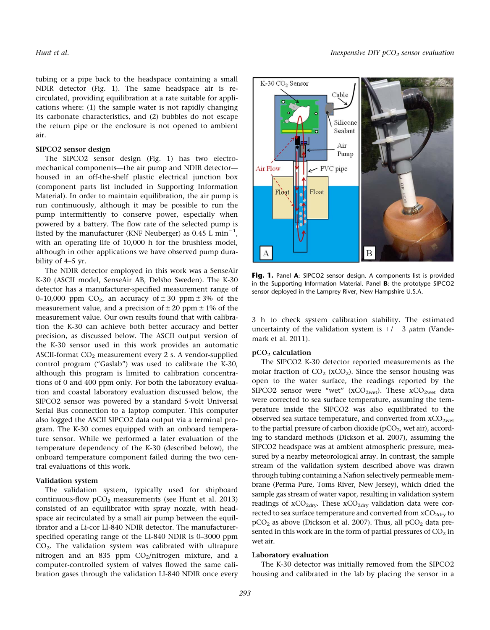tubing or a pipe back to the headspace containing a small NDIR detector (Fig. 1). The same headspace air is recirculated, providing equilibration at a rate suitable for applications where: (1) the sample water is not rapidly changing its carbonate characteristics, and (2) bubbles do not escape the return pipe or the enclosure is not opened to ambient air.

# SIPCO2 sensor design

The SIPCO2 sensor design (Fig. 1) has two electromechanical components—the air pump and NDIR detector housed in an off-the-shelf plastic electrical junction box (component parts list included in Supporting Information Material). In order to maintain equilibration, the air pump is run continuously, although it may be possible to run the pump intermittently to conserve power, especially when powered by a battery. The flow rate of the selected pump is listed by the manufacturer (KNF Neuberger) as  $0.45$  L min<sup>-1</sup>, with an operating life of 10,000 h for the brushless model, although in other applications we have observed pump durability of 4–5 yr.

The NDIR detector employed in this work was a SenseAir K-30 (ASCII model, SenseAir AB, Delsbo Sweden). The K-30 detector has a manufacturer-specified measurement range of 0–10,000 ppm  $CO<sub>2</sub>$ , an accuracy of  $\pm$  30 ppm  $\pm$  3% of the measurement value, and a precision of  $\pm 20$  ppm  $\pm 1\%$  of the measurement value. Our own results found that with calibration the K-30 can achieve both better accuracy and better precision, as discussed below. The ASCII output version of the K-30 sensor used in this work provides an automatic ASCII-format  $CO<sub>2</sub>$  measurement every 2 s. A vendor-supplied control program ("Gaslab") was used to calibrate the K-30, although this program is limited to calibration concentrations of 0 and 400 ppm only. For both the laboratory evaluation and coastal laboratory evaluation discussed below, the SIPCO2 sensor was powered by a standard 5-volt Universal Serial Bus connection to a laptop computer. This computer also logged the ASCII SIPCO2 data output via a terminal program. The K-30 comes equipped with an onboard temperature sensor. While we performed a later evaluation of the temperature dependency of the K-30 (described below), the onboard temperature component failed during the two central evaluations of this work.

#### Validation system

The validation system, typically used for shipboard continuous-flow  $pCO<sub>2</sub>$  measurements (see Hunt et al. 2013) consisted of an equilibrator with spray nozzle, with headspace air recirculated by a small air pump between the equilibrator and a Li-cor LI-840 NDIR detector. The manufacturerspecified operating range of the LI-840 NDIR is 0–3000 ppm  $CO<sub>2</sub>$ . The validation system was calibrated with ultrapure nitrogen and an 835 ppm  $CO<sub>2</sub>/nitrogen mixture$ , and a computer-controlled system of valves flowed the same calibration gases through the validation LI-840 NDIR once every



Fig. 1. Panel A: SIPCO2 sensor design. A components list is provided in the Supporting Information Material. Panel B: the prototype SIPCO2 sensor deployed in the Lamprey River, New Hampshire U.S.A.

3 h to check system calibration stability. The estimated uncertainty of the validation system is  $+/- 3 \mu$ atm (Vandemark et al. 2011).

#### pCO2 calculation

The SIPCO2 K-30 detector reported measurements as the molar fraction of  $CO<sub>2</sub>$  (xCO<sub>2</sub>). Since the sensor housing was open to the water surface, the readings reported by the SIPCO2 sensor were "wet" ( $xCO_{2wet}$ ). These  $xCO_{2wet}$  data were corrected to sea surface temperature, assuming the temperature inside the SIPCO2 was also equilibrated to the observed sea surface temperature, and converted from  $xCO<sub>2wet</sub>$ to the partial pressure of carbon dioxide  $(pCO<sub>2</sub>)$ , wet air), according to standard methods (Dickson et al. 2007), assuming the SIPCO2 headspace was at ambient atmospheric pressure, measured by a nearby meteorological array. In contrast, the sample stream of the validation system described above was drawn through tubing containing a Nafion selectively permeable membrane (Perma Pure, Toms River, New Jersey), which dried the sample gas stream of water vapor, resulting in validation system readings of  $xCO<sub>2dry</sub>$ . These  $xCO<sub>2dry</sub>$  validation data were corrected to sea surface temperature and converted from xCO<sub>2dry</sub> to  $pCO<sub>2</sub>$  as above (Dickson et al. 2007). Thus, all  $pCO<sub>2</sub>$  data presented in this work are in the form of partial pressures of  $CO<sub>2</sub>$  in wet air.

### Laboratory evaluation

The K-30 detector was initially removed from the SIPCO2 housing and calibrated in the lab by placing the sensor in a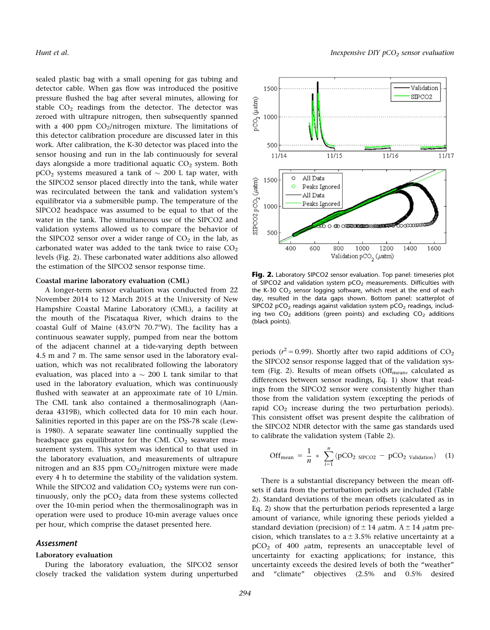sealed plastic bag with a small opening for gas tubing and detector cable. When gas flow was introduced the positive pressure flushed the bag after several minutes, allowing for stable  $CO<sub>2</sub>$  readings from the detector. The detector was zeroed with ultrapure nitrogen, then subsequently spanned with a 400 ppm  $CO<sub>2</sub>/nitrogen mixture$ . The limitations of this detector calibration procedure are discussed later in this work. After calibration, the K-30 detector was placed into the sensor housing and run in the lab continuously for several days alongside a more traditional aquatic  $CO<sub>2</sub>$  system. Both  $\tt pCO_2$  systems measured a tank of  $\sim 200$  L tap water, with the SIPCO2 sensor placed directly into the tank, while water was recirculated between the tank and validation system's equilibrator via a submersible pump. The temperature of the SIPCO2 headspace was assumed to be equal to that of the water in the tank. The simultaneous use of the SIPCO2 and validation systems allowed us to compare the behavior of the SIPCO2 sensor over a wider range of  $CO<sub>2</sub>$  in the lab, as carbonated water was added to the tank twice to raise  $CO<sub>2</sub>$ levels (Fig. 2). These carbonated water additions also allowed the estimation of the SIPCO2 sensor response time.

#### Coastal marine laboratory evaluation (CML)

A longer-term sensor evaluation was conducted from 22 November 2014 to 12 March 2015 at the University of New Hampshire Coastal Marine Laboratory (CML), a facility at the mouth of the Piscataqua River, which drains to the coastal Gulf of Maine  $(43.0^{\circ}N$  70.7°W). The facility has a continuous seawater supply, pumped from near the bottom of the adjacent channel at a tide-varying depth between 4.5 m and 7 m. The same sensor used in the laboratory evaluation, which was not recalibrated following the laboratory evaluation, was placed into a  $\sim$  200 L tank similar to that used in the laboratory evaluation, which was continuously flushed with seawater at an approximate rate of 10 L/min. The CML tank also contained a thermosalinograph (Aanderaa 4319B), which collected data for 10 min each hour. Salinities reported in this paper are on the PSS-78 scale (Lewis 1980). A separate seawater line continually supplied the headspace gas equilibrator for the CML  $CO<sub>2</sub>$  seawater measurement system. This system was identical to that used in the laboratory evaluation, and measurements of ultrapure nitrogen and an 835 ppm  $CO<sub>2</sub>/nitrogen mixture were made$ every 4 h to determine the stability of the validation system. While the SIPCO2 and validation  $CO<sub>2</sub>$  systems were run continuously, only the  $pCO<sub>2</sub>$  data from these systems collected over the 10-min period when the thermosalinograph was in operation were used to produce 10-min average values once per hour, which comprise the dataset presented here.

# Assessment

# Laboratory evaluation

During the laboratory evaluation, the SIPCO2 sensor closely tracked the validation system during unperturbed



Fig. 2. Laboratory SIPCO2 sensor evaluation. Top panel: timeseries plot of SIPCO2 and validation system  $pCO<sub>2</sub>$  measurements. Difficulties with the K-30  $CO<sub>2</sub>$  sensor logging software, which reset at the end of each day, resulted in the data gaps shown. Bottom panel: scatterplot of SIPCO2  $pCO<sub>2</sub>$  readings against validation system  $pCO<sub>2</sub>$  readings, including two  $CO<sub>2</sub>$  additions (green points) and excluding  $CO<sub>2</sub>$  additions (black points).

periods ( $r^2$  = 0.99). Shortly after two rapid additions of CO<sub>2</sub> the SIPCO2 sensor response lagged that of the validation system (Fig. 2). Results of mean offsets (Off $_{\text{mean}}$ , calculated as differences between sensor readings, Eq. 1) show that readings from the SIPCO2 sensor were consistently higher than those from the validation system (excepting the periods of rapid  $CO<sub>2</sub>$  increase during the two perturbation periods). This consistent offset was present despite the calibration of the SIPCO2 NDIR detector with the same gas standards used to calibrate the validation system (Table 2).

$$
\text{Off}_{\text{mean}} = \frac{1}{n} * \sum_{i=1}^{n} (p \text{CO}_2 \text{ SIPC22} - p \text{CO}_2 \text{ validation}) \quad (1)
$$

There is a substantial discrepancy between the mean offsets if data from the perturbation periods are included (Table 2). Standard deviations of the mean offsets (calculated as in Eq. 2) show that the perturbation periods represented a large amount of variance, while ignoring these periods yielded a standard deviation (precision) of  $\pm$  14  $\mu$ atm. A  $\pm$  14  $\mu$ atm precision, which translates to  $a \pm 3.5\%$  relative uncertainty at a  $pCO<sub>2</sub>$  of 400  $\mu$ atm, represents an unacceptable level of uncertainty for exacting applications; for instance, this uncertainty exceeds the desired levels of both the "weather" and "climate" objectives (2.5% and 0.5% desired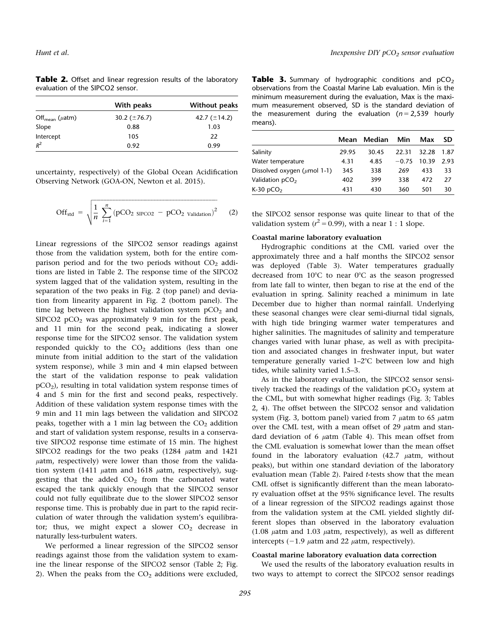Table 2. Offset and linear regression results of the laboratory evaluation of the SIPCO2 sensor.

|                                  | With peaks        | <b>Without peaks</b> |
|----------------------------------|-------------------|----------------------|
| Off <sub>mean</sub> ( $\mu$ atm) | 30.2 $(\pm 76.7)$ | 42.7 $(\pm 14.2)$    |
| Slope                            | 0.88              | 1.03                 |
| Intercept                        | 105               | 22                   |
| $R^2$                            | 0.92              | 0.99                 |

uncertainty, respectively) of the Global Ocean Acidification Observing Network (GOA-ON, Newton et al. 2015).

$$
\text{Off}_{\text{std}} = \sqrt{\frac{1}{n} \sum_{i=1}^{n} (pCO_2 \text{ s} \cdot pCO_2 - pCO_2 \text{ validation})^2}
$$
 (2)

Linear regressions of the SIPCO2 sensor readings against those from the validation system, both for the entire comparison period and for the two periods without  $CO<sub>2</sub>$  additions are listed in Table 2. The response time of the SIPCO2 system lagged that of the validation system, resulting in the separation of the two peaks in Fig. 2 (top panel) and deviation from linearity apparent in Fig. 2 (bottom panel). The time lag between the highest validation system  $pCO<sub>2</sub>$  and SIPCO2  $pCO<sub>2</sub>$  was approximately 9 min for the first peak, and 11 min for the second peak, indicating a slower response time for the SIPCO2 sensor. The validation system responded quickly to the  $CO<sub>2</sub>$  additions (less than one minute from initial addition to the start of the validation system response), while 3 min and 4 min elapsed between the start of the validation response to peak validation  $pCO<sub>2</sub>$ ), resulting in total validation system response times of 4 and 5 min for the first and second peaks, respectively. Addition of these validation system response times with the 9 min and 11 min lags between the validation and SIPCO2 peaks, together with a 1 min lag between the  $CO<sub>2</sub>$  addition and start of validation system response, results in a conservative SIPCO2 response time estimate of 15 min. The highest SIPCO2 readings for the two peaks  $(1284 \mu atm)$  and  $1421$  $\mu$ atm, respectively) were lower than those from the validation system (1411  $\mu$ atm and 1618  $\mu$ atm, respectively), suggesting that the added  $CO<sub>2</sub>$  from the carbonated water escaped the tank quickly enough that the SIPCO2 sensor could not fully equilibrate due to the slower SIPCO2 sensor response time. This is probably due in part to the rapid recirculation of water through the validation system's equilibrator; thus, we might expect a slower  $CO<sub>2</sub>$  decrease in naturally less-turbulent waters.

We performed a linear regression of the SIPCO2 sensor readings against those from the validation system to examine the linear response of the SIPCO2 sensor (Table 2; Fig. 2). When the peaks from the  $CO<sub>2</sub>$  additions were excluded,

**Table 3.** Summary of hydrographic conditions and  $pCO<sub>2</sub>$ observations from the Coastal Marine Lab evaluation. Min is the minimum measurement during the evaluation, Max is the maximum measurement observed, SD is the standard deviation of the measurement during the evaluation ( $n = 2,539$  hourly means).

|                                   | Mean  | Median | Min     | Max   | <b>SD</b> |
|-----------------------------------|-------|--------|---------|-------|-----------|
| Salinity                          | 29.95 | 30.45  | 22.31   | 32.28 | 1.87      |
| Water temperature                 | 4.31  | 4.85   | $-0.75$ | 10.39 | 2.93      |
| Dissolved oxygen ( $\mu$ mol 1-1) | 345   | 338    | 269     | 433   | 33        |
| Validation $pCO2$                 | 402   | 399    | 338     | 472   | 27        |
| K-30 $pCO2$                       | 431   | 430    | 360     | 501   | 30        |

the SIPCO2 sensor response was quite linear to that of the validation system ( $r^2$  = 0.99), with a near 1 : 1 slope.

#### Coastal marine laboratory evaluation

Hydrographic conditions at the CML varied over the approximately three and a half months the SIPCO2 sensor was deployed (Table 3). Water temperatures gradually decreased from  $10^{\circ}$ C to near  $0^{\circ}$ C as the season progressed from late fall to winter, then began to rise at the end of the evaluation in spring. Salinity reached a minimum in late December due to higher than normal rainfall. Underlying these seasonal changes were clear semi-diurnal tidal signals, with high tide bringing warmer water temperatures and higher salinities. The magnitudes of salinity and temperature changes varied with lunar phase, as well as with precipitation and associated changes in freshwater input, but water temperature generally varied  $1-2^{\circ}C$  between low and high tides, while salinity varied 1.5–3.

As in the laboratory evaluation, the SIPCO2 sensor sensitively tracked the readings of the validation  $pCO<sub>2</sub>$  system at the CML, but with somewhat higher readings (Fig. 3; Tables 2, 4). The offset between the SIPCO2 sensor and validation system (Fig. 3, bottom panel) varied from 7  $\mu$ atm to 65  $\mu$ atm over the CML test, with a mean offset of 29  $\mu$ atm and standard deviation of 6  $\mu$ atm (Table 4). This mean offset from the CML evaluation is somewhat lower than the mean offset found in the laboratory evaluation  $(42.7 \mu atm, wt$ peaks), but within one standard deviation of the laboratory evaluation mean (Table 2). Paired t-tests show that the mean CML offset is significantly different than the mean laboratory evaluation offset at the 95% significance level. The results of a linear regression of the SIPCO2 readings against those from the validation system at the CML yielded slightly different slopes than observed in the laboratory evaluation (1.08  $\mu$ atm and 1.03  $\mu$ atm, respectively), as well as different intercepts  $(-1.9 \mu atm)$  and 22  $\mu atm$ , respectively).

#### Coastal marine laboratory evaluation data correction

We used the results of the laboratory evaluation results in two ways to attempt to correct the SIPCO2 sensor readings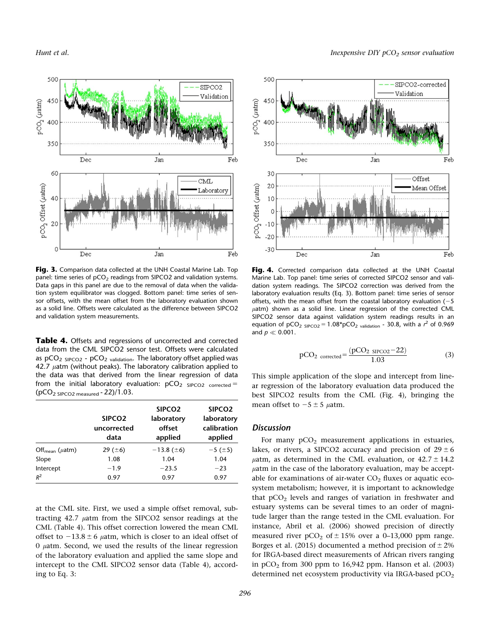

Fig. 3. Comparison data collected at the UNH Coastal Marine Lab. Top panel: time series of  $pCO<sub>2</sub>$  readings from SIPCO2 and validation systems. Data gaps in this panel are due to the removal of data when the validation system equilibrator was clogged. Bottom panel: time series of sensor offsets, with the mean offset from the laboratory evaluation shown as a solid line. Offsets were calculated as the difference between SIPCO2 and validation system measurements.

Table 4. Offsets and regressions of uncorrected and corrected data from the CML SIPCO2 sensor test. Offsets were calculated as  $pCO<sub>2</sub>$  sipco<sub>2</sub> -  $pCO<sub>2</sub>$  validation. The laboratory offset applied was 42.7  $\mu$ atm (without peaks). The laboratory calibration applied to the data was that derived from the linear regression of data from the initial laboratory evaluation:  $pCO<sub>2</sub>$  SIPCO2 corrected =  $(pCO<sub>2</sub> s<sub>IPCO2</sub> measured - 22)/1.03.$ 

|                                  | SIPCO <sub>2</sub><br>uncorrected<br>data | SIPCO <sub>2</sub><br>laboratory<br>offset<br>applied | SIPCO <sub>2</sub><br>laboratory<br>calibration<br>applied |
|----------------------------------|-------------------------------------------|-------------------------------------------------------|------------------------------------------------------------|
| Off <sub>mean</sub> ( $\mu$ atm) | 29 ( $\pm 6$ )                            | $-13.8$ ( $\pm 6$ )                                   | $-5$ ( $\pm 5$ )                                           |
| Slope                            | 1.08                                      | 1.04                                                  | 1.04                                                       |
| Intercept                        | $-1.9$                                    | $-23.5$                                               | $-23$                                                      |
| $R^2$                            | 0.97                                      | 0.97                                                  | 0.97                                                       |

at the CML site. First, we used a simple offset removal, subtracting  $42.7$   $\mu$ atm from the SIPCO2 sensor readings at the CML (Table 4). This offset correction lowered the mean CML offset to  $-13.8 \pm 6$   $\mu$ atm, which is closer to an ideal offset of  $0$   $\mu$ atm. Second, we used the results of the linear regression of the laboratory evaluation and applied the same slope and intercept to the CML SIPCO2 sensor data (Table 4), according to Eq. 3:



Fig. 4. Corrected comparison data collected at the UNH Coastal Marine Lab. Top panel: time series of corrected SIPCO2 sensor and validation system readings. The SIPCO2 correction was derived from the laboratory evaluation results (Eq. 3). Bottom panel: time series of sensor offsets, with the mean offset from the coastal laboratory evaluation  $(-5)$  $\mu$ atm) shown as a solid line. Linear regression of the corrected CML SIPCO2 sensor data against validation system readings results in an equation of pCO<sub>2</sub> s<sub>IPCO2</sub> = 1.08\*pCO<sub>2 validation</sub> - 30.8, with a  $r^2$  of 0.969 and  $p \ll 0.001$ .

$$
pCO2 corrected = \frac{(pCO2 SIPCO2 - 22)}{1.03}
$$
 (3)

Jan

Feb

This simple application of the slope and intercept from linear regression of the laboratory evaluation data produced the best SIPCO2 results from the CML (Fig. 4), bringing the mean offset to  $-5 \pm 5$  µatm.

# Discussion

 $-20$ 

 $-30$ 

Dec

For many  $pCO<sub>2</sub>$  measurement applications in estuaries, lakes, or rivers, a SIPCO2 accuracy and precision of  $29 \pm 6$  $\mu$ atm, as determined in the CML evaluation, or  $42.7 \pm 14.2$  $\mu$ atm in the case of the laboratory evaluation, may be acceptable for examinations of air-water  $CO<sub>2</sub>$  fluxes or aquatic ecosystem metabolism; however, it is important to acknowledge that  $pCO<sub>2</sub>$  levels and ranges of variation in freshwater and estuary systems can be several times to an order of magnitude larger than the range tested in the CML evaluation. For instance, Abril et al. (2006) showed precision of directly measured river  $pCO<sub>2</sub>$  of  $\pm$  15% over a 0–13,000 ppm range. Borges et al. (2015) documented a method precision of  $\pm 2\%$ for IRGA-based direct measurements of African rivers ranging in  $pCO<sub>2</sub>$  from 300 ppm to 16,942 ppm. Hanson et al. (2003) determined net ecosystem productivity via IRGA-based pCO<sub>2</sub>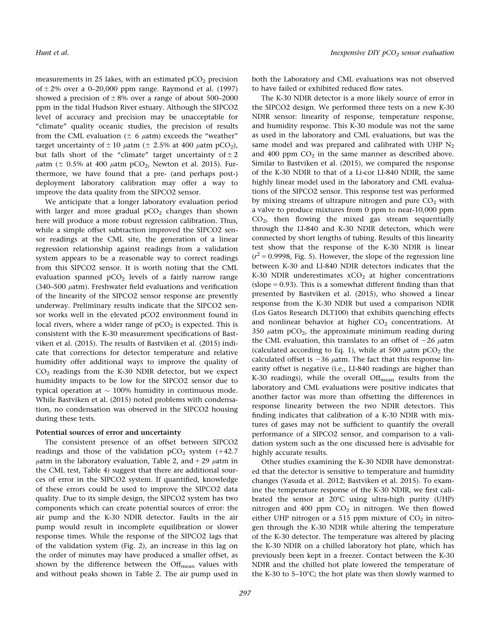measurements in 25 lakes, with an estimated  $pCO<sub>2</sub>$  precision of  $\pm$  2% over a 0–20,000 ppm range. Raymond et al. (1997) showed a precision of  $\pm 8\%$  over a range of about 500–2000 ppm in the tidal Hudson River estuary. Although the SIPCO2 level of accuracy and precision may be unacceptable for "climate" quality oceanic studies, the precision of results from the CML evaluation ( $\pm$  6  $\mu$ atm) exceeds the "weather" target uncertainty of  $\pm$  10  $\mu$ atm ( $\pm$  2.5% at 400  $\mu$ atm pCO<sub>2</sub>), but falls short of the "climate" target uncertainty of  $\pm 2$  $\mu$ atm ( $\pm$  0.5% at 400  $\mu$ atm pCO<sub>2</sub>, Newton et al. 2015). Furthermore, we have found that a pre- (and perhaps post-) deployment laboratory calibration may offer a way to improve the data quality from the SIPCO2 sensor.

We anticipate that a longer laboratory evaluation period with larger and more gradual  $pCO<sub>2</sub>$  changes than shown here will produce a more robust regression calibration. Thus, while a simple offset subtraction improved the SIPCO2 sensor readings at the CML site, the generation of a linear regression relationship against readings from a validation system appears to be a reasonable way to correct readings from this SIPCO2 sensor. It is worth noting that the CML evaluation spanned  $pCO<sub>2</sub>$  levels of a fairly narrow range (340–500  $\mu$ atm). Freshwater field evaluations and verification of the linearity of the SIPCO2 sensor response are presently underway. Preliminary results indicate that the SIPCO2 sensor works well in the elevated pCO2 environment found in local rivers, where a wider range of  $pCO<sub>2</sub>$  is expected. This is consistent with the K-30 measurement specifications of Bastviken et al. (2015). The results of Bastviken et al. (2015) indicate that corrections for detector temperature and relative humidity offer additional ways to improve the quality of  $CO<sub>2</sub>$  readings from the K-30 NDIR detector, but we expect humidity impacts to be low for the SIPCO2 sensor due to typical operation at  $\sim$  100% humidity in continuous mode. While Bastviken et al. (2015) noted problems with condensation, no condensation was observed in the SIPCO2 housing during these tests.

### Potential sources of error and uncertainty

The consistent presence of an offset between SIPCO2 readings and those of the validation  $pCO<sub>2</sub>$  system (+42.7)  $\mu$ atm in the laboratory evaluation, Table 2, and + 29  $\mu$ atm in the CML test, Table 4) suggest that there are additional sources of error in the SIPCO2 system. If quantified, knowledge of these errors could be used to improve the SIPCO2 data quality. Due to its simple design, the SIPCO2 system has two components which can create potential sources of error: the air pump and the K-30 NDIR detector. Faults in the air pump would result in incomplete equilibration or slower response times. While the response of the SIPCO2 lags that of the validation system (Fig. 2), an increase in this lag on the order of minutes may have produced a smaller offset, as shown by the difference between the  $\text{Off}_{\text{mean}}$  values with and without peaks shown in Table 2. The air pump used in both the Laboratory and CML evaluations was not observed to have failed or exhibited reduced flow rates.

The K-30 NDIR detector is a more likely source of error in the SIPCO2 design. We performed three tests on a new K-30 NDIR sensor: linearity of response, temperature response, and humidity response. This K-30 module was not the same as used in the laboratory and CML evaluations, but was the same model and was prepared and calibrated with UHP  $N_2$ and 400 ppm  $CO<sub>2</sub>$  in the same manner as described above. Similar to Bastviken et al. (2015), we compared the response of the K-30 NDIR to that of a Li-cor LI-840 NDIR, the same highly linear model used in the laboratory and CML evaluations of the SIPCO2 sensor. This response test was performed by mixing streams of ultrapure nitrogen and pure  $CO<sub>2</sub>$  with a valve to produce mixtures from 0 ppm to near-10,000 ppm  $CO<sub>2</sub>$ , then flowing the mixed gas stream sequentially through the LI-840 and K-30 NDIR detectors, which were connected by short lengths of tubing. Results of this linearity test show that the response of the K-30 NDIR is linear  $(r^2 = 0.9998,$  Fig. 5). However, the slope of the regression line between K-30 and LI-840 NDIR detectors indicates that the K-30 NDIR underestimates  $xCO<sub>2</sub>$  at higher concentrations (slope  $= 0.93$ ). This is a somewhat different finding than that presented by Bastviken et al. (2015), who showed a linear response from the K-30 NDIR but used a comparison NDIR (Los Gatos Research DLT100) that exhibits quenching effects and nonlinear behavior at higher  $CO<sub>2</sub>$  concentrations. At 350  $\mu$ atm pCO<sub>2</sub>, the approximate minimum reading during the CML evaluation, this translates to an offset of  $-26$   $\mu$ atm (calculated according to Eq. 1), while at 500  $\mu$ atm pCO<sub>2</sub> the calculated offset is  $-36 \mu$ atm. The fact that this response linearity offset is negative (i.e., LI-840 readings are higher than K-30 readings), while the overall Offmean results from the laboratory and CML evaluations were positive indicates that another factor was more than offsetting the differences in response linearity between the two NDIR detectors. This finding indicates that calibration of a K-30 NDIR with mixtures of gases may not be sufficient to quantify the overall performance of a SIPCO2 sensor, and comparison to a validation system such as the one discussed here is advisable for highly accurate results.

Other studies examining the K-30 NDIR have demonstrated that the detector is sensitive to temperature and humidity changes (Yasuda et al. 2012; Bastviken et al. 2015). To examine the temperature response of the K-30 NDIR, we first calibrated the sensor at  $20^{\circ}$ C using ultra-high purity (UHP) nitrogen and 400 ppm  $CO<sub>2</sub>$  in nitrogen. We then flowed either UHP nitrogen or a 515 ppm mixture of  $CO<sub>2</sub>$  in nitrogen through the K-30 NDIR while altering the temperature of the K-30 detector. The temperature was altered by placing the K-30 NDIR on a chilled laboratory hot plate, which has previously been kept in a freezer. Contact between the K-30 NDIR and the chilled hot plate lowered the temperature of the K-30 to 5–10 $^{\circ}$ C; the hot plate was then slowly warmed to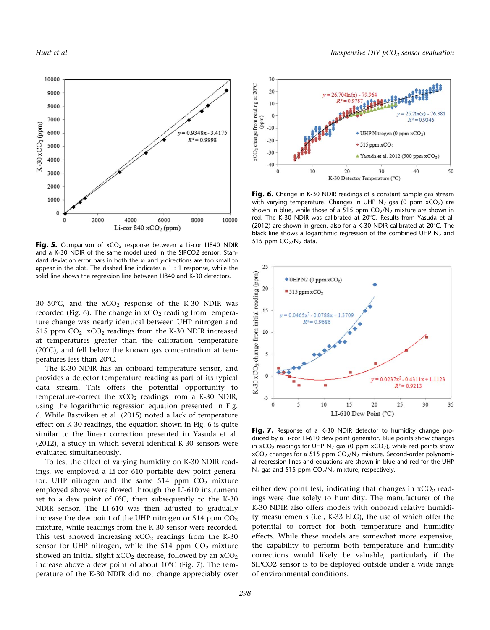

Fig. 5. Comparison of  $xCO<sub>2</sub>$  response between a Li-cor LI840 NDIR and a K-30 NDIR of the same model used in the SIPCO2 sensor. Standard deviation error bars in both the  $x$ - and  $y$ -directions are too small to appear in the plot. The dashed line indicates a 1 : 1 response, while the solid line shows the regression line between LI840 and K-30 detectors.

30-50°C, and the  $xCO<sub>2</sub>$  response of the K-30 NDIR was recorded (Fig. 6). The change in  $xCO<sub>2</sub>$  reading from temperature change was nearly identical between UHP nitrogen and 515 ppm  $CO_2$ .  $XCO_2$  readings from the K-30 NDIR increased at temperatures greater than the calibration temperature  $(20^{\circ}C)$ , and fell below the known gas concentration at temperatures less than  $20^{\circ}$ C.

The K-30 NDIR has an onboard temperature sensor, and provides a detector temperature reading as part of its typical data stream. This offers the potential opportunity to temperature-correct the  $xCO<sub>2</sub>$  readings from a K-30 NDIR, using the logarithmic regression equation presented in Fig. 6. While Bastviken et al. (2015) noted a lack of temperature effect on K-30 readings, the equation shown in Fig. 6 is quite similar to the linear correction presented in Yasuda et al. (2012), a study in which several identical K-30 sensors were evaluated simultaneously.

To test the effect of varying humidity on K-30 NDIR readings, we employed a Li-cor 610 portable dew point generator. UHP nitrogen and the same  $514$  ppm  $CO<sub>2</sub>$  mixture employed above were flowed through the LI-610 instrument set to a dew point of  $0^{\circ}$ C, then subsequently to the K-30 NDIR sensor. The LI-610 was then adjusted to gradually increase the dew point of the UHP nitrogen or 514 ppm  $CO<sub>2</sub>$ mixture, while readings from the K-30 sensor were recorded. This test showed increasing  $xCO<sub>2</sub>$  readings from the K-30 sensor for UHP nitrogen, while the 514 ppm  $CO<sub>2</sub>$  mixture showed an initial slight  $xCO<sub>2</sub>$  decrease, followed by an  $xCO<sub>2</sub>$ increase above a dew point of about  $10^{\circ}$ C (Fig. 7). The temperature of the K-30 NDIR did not change appreciably over



Fig. 6. Change in K-30 NDIR readings of a constant sample gas stream with varying temperature. Changes in UHP  $N_2$  gas (0 ppm  $xCO_2$ ) are shown in blue, while those of a 515 ppm  $CO<sub>2</sub>/N<sub>2</sub>$  mixture are shown in red. The K-30 NDIR was calibrated at 20°C. Results from Yasuda et al. (2012) are shown in green, also for a K-30 NDIR calibrated at 20 $^{\circ}$ C. The black line shows a logarithmic regression of the combined UHP  $N_2$  and 515 ppm CO<sub>2</sub>/N<sub>2</sub> data.



Fig. 7. Response of a K-30 NDIR detector to humidity change produced by a Li-cor LI-610 dew point generator. Blue points show changes in  $xCO<sub>2</sub>$  readings for UHP N<sub>2</sub> gas (0 ppm  $xCO<sub>2</sub>$ ), while red points show  $xCO<sub>2</sub>$  changes for a 515 ppm  $CO<sub>2</sub>/N<sub>2</sub>$  mixture. Second-order polynomial regression lines and equations are shown in blue and red for the UHP  $N_2$  gas and 515 ppm  $CO_2/N_2$  mixture, respectively.

either dew point test, indicating that changes in  $xCO<sub>2</sub>$  readings were due solely to humidity. The manufacturer of the K-30 NDIR also offers models with onboard relative humidity measurements (i.e., K-33 ELG), the use of which offer the potential to correct for both temperature and humidity effects. While these models are somewhat more expensive, the capability to perform both temperature and humidity corrections would likely be valuable, particularly if the SIPCO2 sensor is to be deployed outside under a wide range of environmental conditions.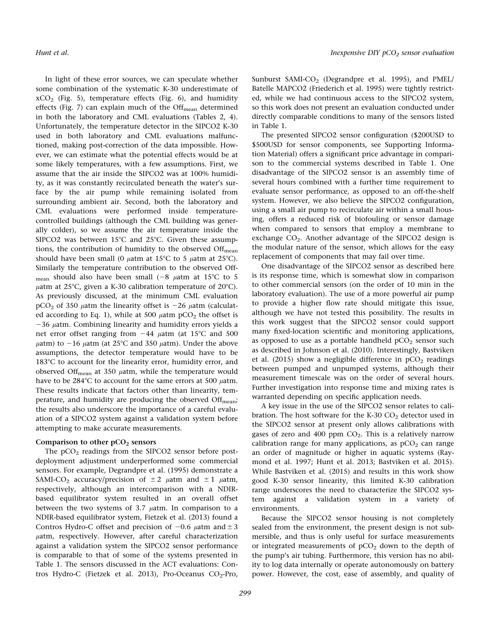Hunt et al. **Inexpensive DIY pCO<sub>2</sub> sensor evaluation** Inexpensive DIY pCO<sub>2</sub> sensor evaluation

In light of these error sources, we can speculate whether some combination of the systematic K-30 underestimate of  $xCO<sub>2</sub>$  (Fig. 5), temperature effects (Fig. 6), and humidity effects (Fig. 7) can explain much of the Off $_{\text{mean}}$  determined in both the laboratory and CML evaluations (Tables 2, 4). Unfortunately, the temperature detector in the SIPCO2 K-30 used in both laboratory and CML evaluations malfunctioned, making post-correction of the data impossible. However, we can estimate what the potential effects would be at some likely temperatures, with a few assumptions. First, we assume that the air inside the SIPCO2 was at 100% humidity, as it was constantly recirculated beneath the water's surface by the air pump while remaining isolated from surrounding ambient air. Second, both the laboratory and CML evaluations were performed inside temperaturecontrolled buildings (although the CML building was generally colder), so we assume the air temperature inside the SIPCO2 was between  $15^{\circ}$ C and  $25^{\circ}$ C. Given these assumptions, the contribution of humidity to the observed  $\text{Off}_{\text{mean}}$ should have been small (0  $\mu$ atm at 15°C to 5  $\mu$ atm at 25°C). Similarly the temperature contribution to the observed Offmean should also have been small  $(-8 \mu atm at 15^{\circ}C to 5$  $\mu$ atm at 25°C, given a K-30 calibration temperature of 20°C). As previously discussed, at the minimum CML evaluation  $pCO<sub>2</sub>$  of 350  $\mu$ atm the linearity offset is -26  $\mu$ atm (calculated according to Eq. 1), while at 500  $\mu$ atm pCO<sub>2</sub> the offset is  $-36$   $\mu$ atm. Combining linearity and humidity errors yields a net error offset ranging from  $-44$   $\mu$ atm (at 15°C and 500  $\mu$ atm) to -16  $\mu$ atm (at 25°C and 350  $\mu$ atm). Under the above assumptions, the detector temperature would have to be 183°C to account for the linearity error, humidity error, and observed Off<sub>mean</sub> at 350  $\mu$ atm, while the temperature would have to be  $284^{\circ}$ C to account for the same errors at 500  $\mu$ atm. These results indicate that factors other than linearity, temperature, and humidity are producing the observed  $\text{Off}_{\text{mean}}$ ; the results also underscore the importance of a careful evaluation of a SIPCO2 system against a validation system before attempting to make accurate measurements.

### Comparison to other  $pCO<sub>2</sub>$  sensors

The  $pCO<sub>2</sub>$  readings from the SIPCO2 sensor before postdeployment adjustment underperformed some commercial sensors. For example, Degrandpre et al. (1995) demonstrate a SAMI-CO<sub>2</sub> accuracy/precision of  $\pm 2$   $\mu$ atm and  $\pm 1$   $\mu$ atm, respectively, although an intercomparison with a NDIRbased equilibrator system resulted in an overall offset between the two systems of 3.7  $\mu$ atm. In comparison to a NDIR-based equilibrator system, Fietzek et al. (2013) found a Contros Hydro-C offset and precision of  $-0.6$   $\mu$ atm and  $\pm 3$  $\mu$ atm, respectively. However, after careful characterization against a validation system the SIPCO2 sensor performance is comparable to that of some of the systems presented in Table 1. The sensors discussed in the ACT evaluations: Contros Hydro-C (Fietzek et al. 2013), Pro-Oceanus CO<sub>2</sub>-Pro, Sunburst SAMI- $CO<sub>2</sub>$  (Degrandpre et al. 1995), and PMEL/ Batelle MAPCO2 (Friederich et al. 1995) were tightly restricted, while we had continuous access to the SIPCO2 system, so this work does not present an evaluation conducted under directly comparable conditions to many of the sensors listed in Table 1.

The presented SIPCO2 sensor configuration (\$200USD to \$500USD for sensor components, see Supporting Information Material) offers a significant price advantage in comparison to the commercial systems described in Table 1. One disadvantage of the SIPCO2 sensor is an assembly time of several hours combined with a further time requirement to evaluate sensor performance, as opposed to an off-the-shelf system. However, we also believe the SIPCO2 configuration, using a small air pump to recirculate air within a small housing, offers a reduced risk of biofouling or sensor damage when compared to sensors that employ a membrane to exchange  $CO<sub>2</sub>$ . Another advantage of the SIPCO2 design is the modular nature of the sensor, which allows for the easy replacement of components that may fail over time.

One disadvantage of the SIPCO2 sensor as described here is its response time, which is somewhat slow in comparison to other commercial sensors (on the order of 10 min in the laboratory evaluation). The use of a more powerful air pump to provide a higher flow rate should mitigate this issue, although we have not tested this possibility. The results in this work suggest that the SIPCO2 sensor could support many fixed-location scientific and monitoring applications, as opposed to use as a portable handheld  $pCO<sub>2</sub>$  sensor such as described in Johnson et al. (2010). Interestingly, Bastviken et al. (2015) show a negligible difference in  $pCO<sub>2</sub>$  readings between pumped and unpumped systems, although their measurement timescale was on the order of several hours. Further investigation into response time and mixing rates is warranted depending on specific application needs.

A key issue in the use of the SIPCO2 sensor relates to calibration. The host software for the K-30  $CO<sub>2</sub>$  detector used in the SIPCO2 sensor at present only allows calibrations with gases of zero and 400 ppm  $CO<sub>2</sub>$ . This is a relatively narrow calibration range for many applications, as  $pCO<sub>2</sub>$  can range an order of magnitude or higher in aquatic systems (Raymond et al. 1997; Hunt et al. 2013; Bastviken et al. 2015). While Bastviken et al. (2015) and results in this work show good K-30 sensor linearity, this limited K-30 calibration range underscores the need to characterize the SIPCO2 system against a validation system in a variety of environments.

Because the SIPCO2 sensor housing is not completely sealed from the environment, the present design is not submersible, and thus is only useful for surface measurements or integrated measurements of  $pCO<sub>2</sub>$  down to the depth of the pump's air tubing. Furthermore, this version has no ability to log data internally or operate autonomously on battery power. However, the cost, ease of assembly, and quality of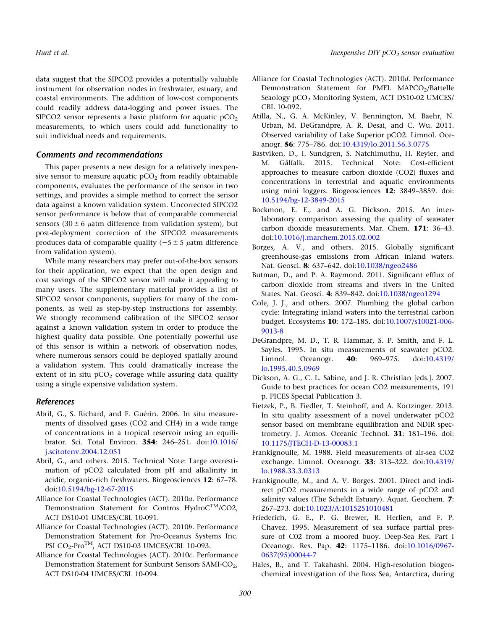data suggest that the SIPCO2 provides a potentially valuable instrument for observation nodes in freshwater, estuary, and coastal environments. The addition of low-cost components could readily address data-logging and power issues. The SIPCO2 sensor represents a basic platform for aquatic  $pCO<sub>2</sub>$ measurements, to which users could add functionality to suit individual needs and requirements.

# Comments and recommendations

This paper presents a new design for a relatively inexpensive sensor to measure aquatic  $pCO<sub>2</sub>$  from readily obtainable components, evaluates the performance of the sensor in two settings, and provides a simple method to correct the sensor data against a known validation system. Uncorrected SIPCO2 sensor performance is below that of comparable commercial sensors (30  $\pm$  6  $\mu$ atm difference from validation system), but post-deployment correction of the SIPCO2 measurements produces data of comparable quality  $(-5 \pm 5 \mu \text{atm})$  difference from validation system).

While many researchers may prefer out-of-the-box sensors for their application, we expect that the open design and cost savings of the SIPCO2 sensor will make it appealing to many users. The supplementary material provides a list of SIPCO2 sensor components, suppliers for many of the components, as well as step-by-step instructions for assembly. We strongly recommend calibration of the SIPCO2 sensor against a known validation system in order to produce the highest quality data possible. One potentially powerful use of this sensor is within a network of observation nodes, where numerous sensors could be deployed spatially around a validation system. This could dramatically increase the extent of in situ  $pCO<sub>2</sub>$  coverage while assuring data quality using a single expensive validation system.

# References

- Abril, G., S. Richard, and F. Guérin. 2006. In situ measurements of dissolved gases (CO2 and CH4) in a wide range of concentrations in a tropical reservoir using an equilibrator. Sci. Total Environ. 354: 246–251. doi:[10.1016/](http://dx.doi.org/10.1016/j.scitotenv.2004.12.051) [j.scitotenv.2004.12.051](http://dx.doi.org/10.1016/j.scitotenv.2004.12.051)
- Abril, G., and others. 2015. Technical Note: Large overestimation of pCO2 calculated from pH and alkalinity in acidic, organic-rich freshwaters. Biogeosciences 12: 67–78. doi[:10.5194/bg-12-67-2015](http://dx.doi.org/10.5194/bg-12-67-2015)
- Alliance for Coastal Technologies (ACT). 2010a. Performance Demonstration Statement for Contros HydroC<sup>TM</sup>/CO2, ACT DS10-01 UMCES/CBL 10-091.
- Alliance for Coastal Technologies (ACT). 2010b. Performance Demonstration Statement for Pro-Oceanus Systems Inc. PSI CO<sub>2</sub>-Pro<sup>TM</sup>, ACT DS10-03 UMCES/CBL 10-093.
- Alliance for Coastal Technologies (ACT). 2010c. Performance Demonstration Statement for Sunburst Sensors SAMI-CO<sub>2</sub>, ACT DS10-04 UMCES/CBL 10-094.
- Alliance for Coastal Technologies (ACT). 2010d. Performance Demonstration Statement for PMEL MAPCO<sub>2</sub>/Battelle Seaology pCO<sub>2</sub> Monitoring System, ACT DS10-02 UMCES/ CBL 10-092.
- Atilla, N., G. A. McKinley, V. Bennington, M. Baehr, N. Urban, M. DeGrandpre, A. R. Desai, and C. Wu. 2011. Observed variability of Lake Superior pCO2. Limnol. Oceanogr. 56: 775–786. doi:[10.4319/lo.2011.56.3.0775](http://dx.doi.org/10.4319/lo.2011.56.3.0775)
- Bastviken, D., I. Sundgren, S. Natchimuthu, H. Reyier, and M. Gålfalk. 2015. Technical Note: Cost-efficient approaches to measure carbon dioxide (CO2) fluxes and concentrations in terrestrial and aquatic environments using mini loggers. Biogeosciences 12: 3849–3859. doi: [10.5194/bg-12-3849-2015](http://dx.doi.org/10.5194/bg-12-3849-2015)
- Bockmon, E. E., and A. G. Dickson. 2015. An interlaboratory comparison assessing the quality of seawater carbon dioxide measurements. Mar. Chem. 171: 36–43. doi[:10.1016/j.marchem.2015.02.002](http://dx.doi.org/10.1016/j.marchem.2015.02.002)
- Borges, A. V., and others. 2015. Globally significant greenhouse-gas emissions from African inland waters. Nat. Geosci. 8: 637-642. doi:[10.1038/ngeo2486](http://dx.doi.org/10.1038/ngeo2486)
- Butman, D., and P. A. Raymond. 2011. Significant efflux of carbon dioxide from streams and rivers in the United States. Nat. Geosci. 4: 839–842. doi[:10.1038/ngeo1294](http://dx.doi.org/10.1038/ngeo1294)
- Cole, J. J., and others. 2007. Plumbing the global carbon cycle: Integrating inland waters into the terrestrial carbon budget. Ecosystems 10: 172–185. doi[:10.1007/s10021-006-](http://dx.doi.org/10.1007/s10021-006-9013-8) [9013-8](http://dx.doi.org/10.1007/s10021-006-9013-8)
- DeGrandpre, M. D., T. R. Hammar, S. P. Smith, and F. L. Sayles. 1995. In situ measurements of seawater pCO2. Limnol. Oceanogr. **40**: 969–975. doi[:10.4319/](http://dx.doi.org/10.4319/lo.1995.40.5.0969) [lo.1995.40.5.0969](http://dx.doi.org/10.4319/lo.1995.40.5.0969)
- Dickson, A. G., C. L. Sabine, and J. R. Christian [eds.]. 2007. Guide to best practices for ocean CO2 measurements, 191 p. PICES Special Publication 3.
- Fietzek, P., B. Fiedler, T. Steinhoff, and A. Körtzinger. 2013. In situ quality assessment of a novel underwater pCO2 sensor based on membrane equilibration and NDIR spectrometry. J. Atmos. Oceanic Technol. 31: 181–196. doi: [10.1175/JTECH-D-13-00083.1](http://dx.doi.org/10.1175/JTECH-D-13-00083.1)
- Frankignoulle, M. 1988. Field measurements of air-sea CO2 exchange. Limnol. Oceanogr. 33: 313–322. doi[:10.4319/](http://dx.doi.org/10.4319/lo.1988.33.3.0313) [lo.1988.33.3.0313](http://dx.doi.org/10.4319/lo.1988.33.3.0313)
- Frankignoulle, M., and A. V. Borges. 2001. Direct and indirect pCO2 measurements in a wide range of pCO2 and salinity values (The Scheldt Estuary). Aquat. Geochem. 7: 267–273. doi[:10.1023/A:1015251010481](http://dx.doi.org/10.1023/A:1015251010481)
- Friederich, G. E., P. G. Brewer, R. Herlien, and F. P. Chavez. 1995. Measurement of sea surface partial pressure of C02 from a moored buoy. Deep-Sea Res. Part I Oceanogr. Res. Pap. 42: 1175–1186. doi[:10.1016/0967-](http://dx.doi.org/10.1016/0967-0637(95)00044-7) [0637\(95\)00044-7](http://dx.doi.org/10.1016/0967-0637(95)00044-7)
- Hales, B., and T. Takahashi. 2004. High-resolution biogeochemical investigation of the Ross Sea, Antarctica, during